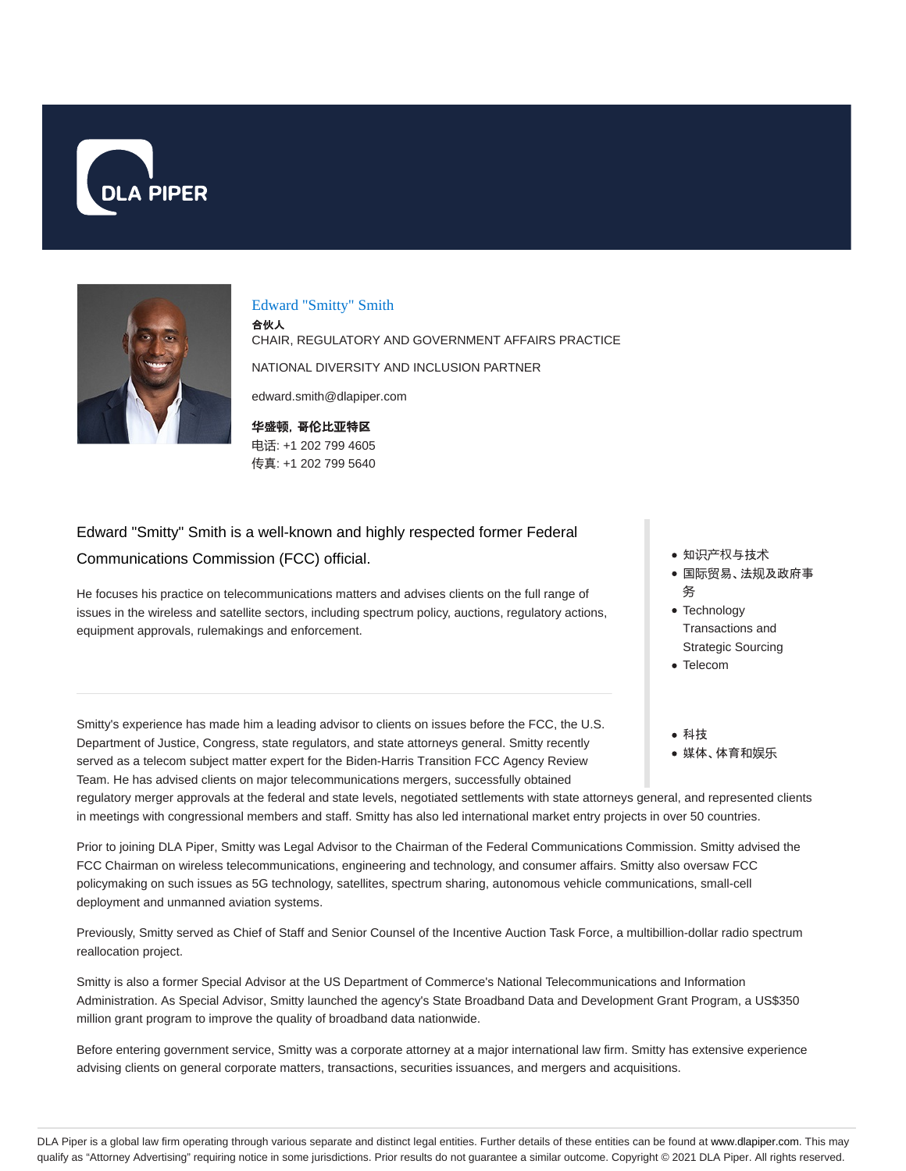



#### Edward "Smitty" Smith

合伙人 CHAIR, REGULATORY AND GOVERNMENT AFFAIRS PRACTICE NATIONAL DIVERSITY AND INCLUSION PARTNER edward.smith@dlapiper.com

**华**盛**顿**,哥**伦**比**亚**特区 电话: +1 202 799 4605 传真: +1 202 799 5640

# Edward "Smitty" Smith is a well-known and highly respected former Federal

#### Communications Commission (FCC) official.

He focuses his practice on telecommunications matters and advises clients on the full range of issues in the wireless and satellite sectors, including spectrum policy, auctions, regulatory actions, equipment approvals, rulemakings and enforcement.

Smitty's experience has made him a leading advisor to clients on issues before the FCC, the U.S. Department of Justice, Congress, state regulators, and state attorneys general. Smitty recently served as a telecom subject matter expert for the Biden-Harris Transition FCC Agency Review Team. He has advised clients on major telecommunications mergers, successfully obtained

- 知识产权与技术
- 国际贸易、法规及政府事 务
- Technology Transactions and Strategic Sourcing
- Telecom
- 科技 媒体、体育和娱乐

regulatory merger approvals at the federal and state levels, negotiated settlements with state attorneys general, and represented clients in meetings with congressional members and staff. Smitty has also led international market entry projects in over 50 countries.

Prior to joining DLA Piper, Smitty was Legal Advisor to the Chairman of the Federal Communications Commission. Smitty advised the FCC Chairman on wireless telecommunications, engineering and technology, and consumer affairs. Smitty also oversaw FCC policymaking on such issues as 5G technology, satellites, spectrum sharing, autonomous vehicle communications, small-cell deployment and unmanned aviation systems.

Previously, Smitty served as Chief of Staff and Senior Counsel of the Incentive Auction Task Force, a multibillion-dollar radio spectrum reallocation project.

Smitty is also a former Special Advisor at the US Department of Commerce's National Telecommunications and Information Administration. As Special Advisor, Smitty launched the agency's State Broadband Data and Development Grant Program, a US\$350 million grant program to improve the quality of broadband data nationwide.

Before entering government service, Smitty was a corporate attorney at a major international law firm. Smitty has extensive experience advising clients on general corporate matters, transactions, securities issuances, and mergers and acquisitions.